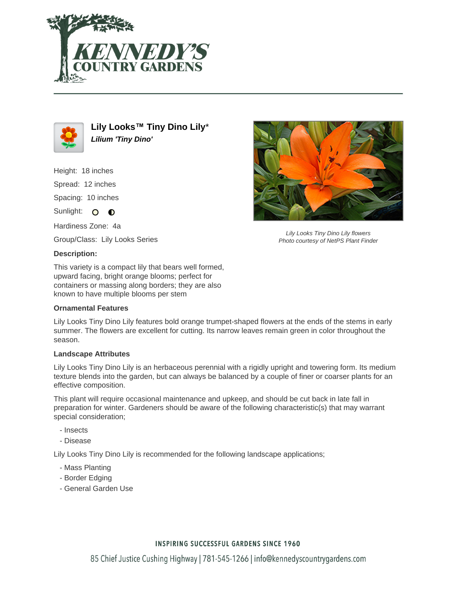



**Lily Looks™ Tiny Dino Lily**\* **Lilium 'Tiny Dino'**

Height: 18 inches Spread: 12 inches

Spacing: 10 inches

Sunlight: O O

Hardiness Zone: 4a

Group/Class: Lily Looks Series

### **Description:**

This variety is a compact lily that bears well formed, upward facing, bright orange blooms; perfect for containers or massing along borders; they are also known to have multiple blooms per stem

### **Ornamental Features**

Lily Looks Tiny Dino Lily features bold orange trumpet-shaped flowers at the ends of the stems in early summer. The flowers are excellent for cutting. Its narrow leaves remain green in color throughout the season.

### **Landscape Attributes**

Lily Looks Tiny Dino Lily is an herbaceous perennial with a rigidly upright and towering form. Its medium texture blends into the garden, but can always be balanced by a couple of finer or coarser plants for an effective composition.

This plant will require occasional maintenance and upkeep, and should be cut back in late fall in preparation for winter. Gardeners should be aware of the following characteristic(s) that may warrant special consideration;

- Insects
- Disease

Lily Looks Tiny Dino Lily is recommended for the following landscape applications;

- Mass Planting
- Border Edging
- General Garden Use



Lily Looks Tiny Dino Lily flowers Photo courtesy of NetPS Plant Finder

## **INSPIRING SUCCESSFUL GARDENS SINCE 1960**

85 Chief Justice Cushing Highway | 781-545-1266 | info@kennedyscountrygardens.com